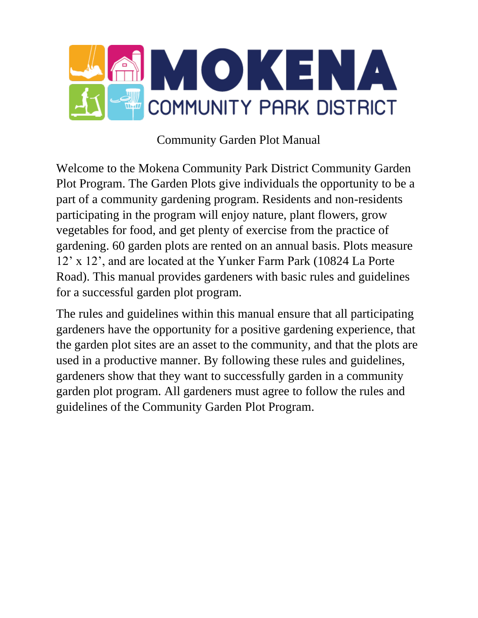

# Community Garden Plot Manual

Welcome to the Mokena Community Park District Community Garden Plot Program. The Garden Plots give individuals the opportunity to be a part of a community gardening program. Residents and non-residents participating in the program will enjoy nature, plant flowers, grow vegetables for food, and get plenty of exercise from the practice of gardening. 60 garden plots are rented on an annual basis. Plots measure 12' x 12', and are located at the Yunker Farm Park (10824 La Porte Road). This manual provides gardeners with basic rules and guidelines for a successful garden plot program.

The rules and guidelines within this manual ensure that all participating gardeners have the opportunity for a positive gardening experience, that the garden plot sites are an asset to the community, and that the plots are used in a productive manner. By following these rules and guidelines, gardeners show that they want to successfully garden in a community garden plot program. All gardeners must agree to follow the rules and guidelines of the Community Garden Plot Program.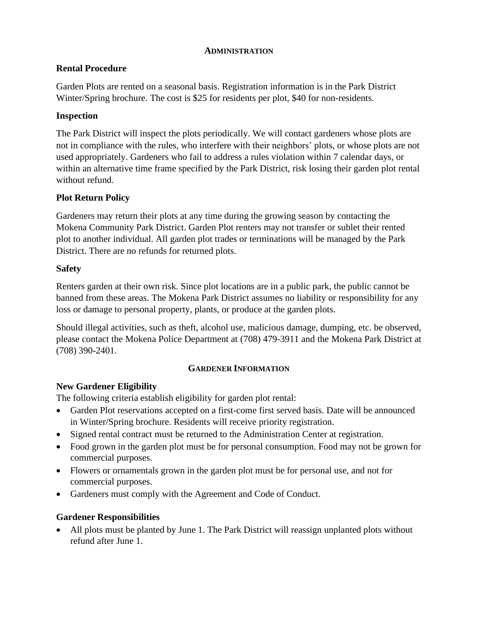#### **ADMINISTRATION**

## **Rental Procedure**

Garden Plots are rented on a seasonal basis. Registration information is in the Park District Winter/Spring brochure. The cost is \$25 for residents per plot, \$40 for non-residents.

## **Inspection**

The Park District will inspect the plots periodically. We will contact gardeners whose plots are not in compliance with the rules, who interfere with their neighbors' plots, or whose plots are not used appropriately. Gardeners who fail to address a rules violation within 7 calendar days, or within an alternative time frame specified by the Park District, risk losing their garden plot rental without refund.

## **Plot Return Policy**

Gardeners may return their plots at any time during the growing season by contacting the Mokena Community Park District. Garden Plot renters may not transfer or sublet their rented plot to another individual. All garden plot trades or terminations will be managed by the Park District. There are no refunds for returned plots.

## **Safety**

Renters garden at their own risk. Since plot locations are in a public park, the public cannot be banned from these areas. The Mokena Park District assumes no liability or responsibility for any loss or damage to personal property, plants, or produce at the garden plots.

Should illegal activities, such as theft, alcohol use, malicious damage, dumping, etc. be observed, please contact the Mokena Police Department at (708) 479-3911 and the Mokena Park District at (708) 390-2401.

#### **GARDENER INFORMATION**

## **New Gardener Eligibility**

The following criteria establish eligibility for garden plot rental:

- Garden Plot reservations accepted on a first-come first served basis. Date will be announced in Winter/Spring brochure. Residents will receive priority registration.
- Signed rental contract must be returned to the Administration Center at registration.
- Food grown in the garden plot must be for personal consumption. Food may not be grown for commercial purposes.
- Flowers or ornamentals grown in the garden plot must be for personal use, and not for commercial purposes.
- Gardeners must comply with the Agreement and Code of Conduct.

#### **Gardener Responsibilities**

• All plots must be planted by June 1. The Park District will reassign unplanted plots without refund after June 1.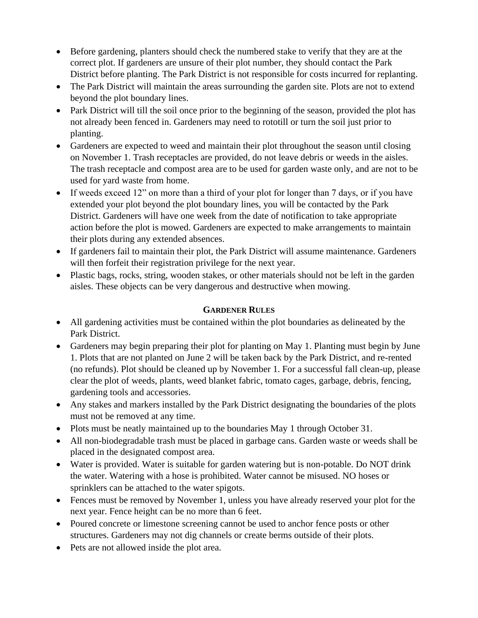- Before gardening, planters should check the numbered stake to verify that they are at the correct plot. If gardeners are unsure of their plot number, they should contact the Park District before planting. The Park District is not responsible for costs incurred for replanting.
- The Park District will maintain the areas surrounding the garden site. Plots are not to extend beyond the plot boundary lines.
- Park District will till the soil once prior to the beginning of the season, provided the plot has not already been fenced in. Gardeners may need to rototill or turn the soil just prior to planting.
- Gardeners are expected to weed and maintain their plot throughout the season until closing on November 1. Trash receptacles are provided, do not leave debris or weeds in the aisles. The trash receptacle and compost area are to be used for garden waste only, and are not to be used for yard waste from home.
- If weeds exceed 12" on more than a third of your plot for longer than 7 days, or if you have extended your plot beyond the plot boundary lines, you will be contacted by the Park District. Gardeners will have one week from the date of notification to take appropriate action before the plot is mowed. Gardeners are expected to make arrangements to maintain their plots during any extended absences.
- If gardeners fail to maintain their plot, the Park District will assume maintenance. Gardeners will then forfeit their registration privilege for the next year.
- Plastic bags, rocks, string, wooden stakes, or other materials should not be left in the garden aisles. These objects can be very dangerous and destructive when mowing.

## **GARDENER RULES**

- All gardening activities must be contained within the plot boundaries as delineated by the Park District.
- Gardeners may begin preparing their plot for planting on May 1. Planting must begin by June 1. Plots that are not planted on June 2 will be taken back by the Park District, and re-rented (no refunds). Plot should be cleaned up by November 1. For a successful fall clean-up, please clear the plot of weeds, plants, weed blanket fabric, tomato cages, garbage, debris, fencing, gardening tools and accessories.
- Any stakes and markers installed by the Park District designating the boundaries of the plots must not be removed at any time.
- Plots must be neatly maintained up to the boundaries May 1 through October 31.
- All non-biodegradable trash must be placed in garbage cans. Garden waste or weeds shall be placed in the designated compost area.
- Water is provided. Water is suitable for garden watering but is non-potable. Do NOT drink the water. Watering with a hose is prohibited. Water cannot be misused. NO hoses or sprinklers can be attached to the water spigots.
- Fences must be removed by November 1, unless you have already reserved your plot for the next year. Fence height can be no more than 6 feet.
- Poured concrete or limestone screening cannot be used to anchor fence posts or other structures. Gardeners may not dig channels or create berms outside of their plots.
- Pets are not allowed inside the plot area.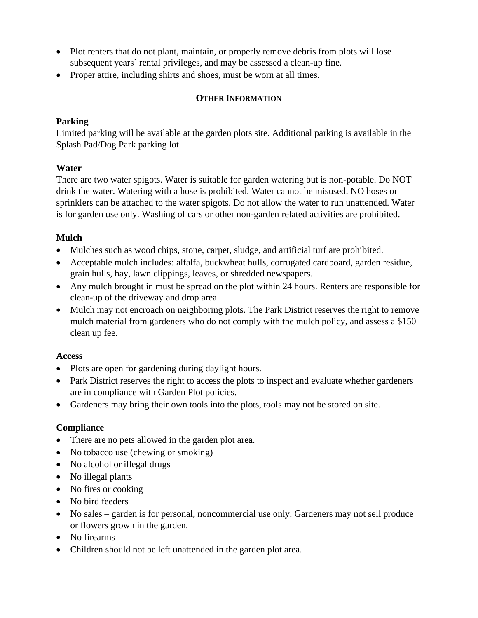- Plot renters that do not plant, maintain, or properly remove debris from plots will lose subsequent years' rental privileges, and may be assessed a clean-up fine.
- Proper attire, including shirts and shoes, must be worn at all times.

## **OTHER INFORMATION**

#### **Parking**

Limited parking will be available at the garden plots site. Additional parking is available in the Splash Pad/Dog Park parking lot.

## **Water**

There are two water spigots. Water is suitable for garden watering but is non-potable. Do NOT drink the water. Watering with a hose is prohibited. Water cannot be misused. NO hoses or sprinklers can be attached to the water spigots. Do not allow the water to run unattended. Water is for garden use only. Washing of cars or other non-garden related activities are prohibited.

## **Mulch**

- Mulches such as wood chips, stone, carpet, sludge, and artificial turf are prohibited.
- Acceptable mulch includes: alfalfa, buckwheat hulls, corrugated cardboard, garden residue, grain hulls, hay, lawn clippings, leaves, or shredded newspapers.
- Any mulch brought in must be spread on the plot within 24 hours. Renters are responsible for clean-up of the driveway and drop area.
- Mulch may not encroach on neighboring plots. The Park District reserves the right to remove mulch material from gardeners who do not comply with the mulch policy, and assess a \$150 clean up fee.

#### **Access**

- Plots are open for gardening during daylight hours.
- Park District reserves the right to access the plots to inspect and evaluate whether gardeners are in compliance with Garden Plot policies.
- Gardeners may bring their own tools into the plots, tools may not be stored on site.

#### **Compliance**

- There are no pets allowed in the garden plot area.
- No tobacco use (chewing or smoking)
- No alcohol or illegal drugs
- No illegal plants
- No fires or cooking
- No bird feeders
- No sales garden is for personal, noncommercial use only. Gardeners may not sell produce or flowers grown in the garden.
- No firearms
- Children should not be left unattended in the garden plot area.